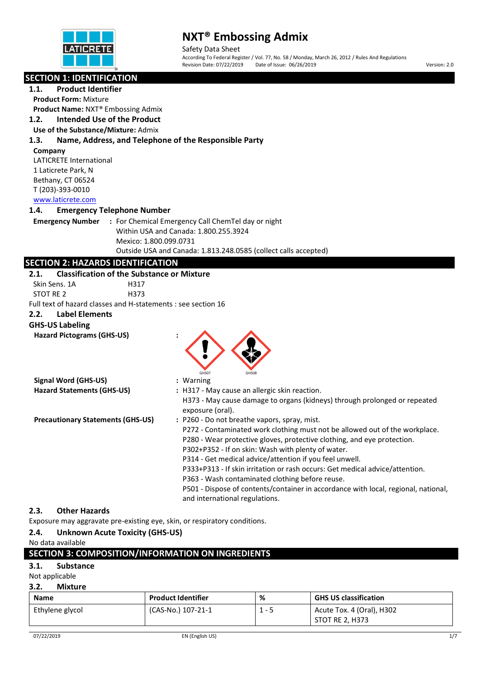

Safety Data Sheet According To Federal Register / Vol. 77, No. 58 / Monday, March 26, 2012 / Rules And Regulations<br>Revision Date: 07/22/2019 Date of Issue: 06/26/2019 Date of Issue: 06/26/2019 Version: 2.0

# **SECTION 1: IDENTIFICATION**

# **1.1. Product Identifier**

**Product Form:** Mixture **Product Name:** NXT® Embossing Admix

#### **1.2. Intended Use of the Product**

**Use of the Substance/Mixture:** Admix

### **1.3. Name, Address, and Telephone of the Responsible Party**

#### **Company**

LATICRETE International 1 Laticrete Park, N Bethany, CT 06524 T (203)-393-0010 [www.laticrete.com](http://www.laticrete.com/) 

### **1.4. Emergency Telephone Number**

**Emergency Number :** For Chemical Emergency Call ChemTel day or night Within USA and Canada: 1.800.255.3924 Mexico: 1.800.099.0731 Outside USA and Canada: 1.813.248.0585 (collect calls accepted)

# **SECTION 2: HAZARDS IDENTIFICATION**

#### **2.1. Classification of the Substance or Mixture**

Skin Sens. 1A H317

STOT RE 2 H373

Full text of hazard classes and H-statements : see section 16

#### **2.2. Label Elements**

**Signal Word (GHS-US) :** Warning

**GHS-US Labeling**

**Hazard Pictograms (GHS-US) :**



| <b>IRIIAI WUIU (UN-USI</b>               | . Wallillig                                                                                   |
|------------------------------------------|-----------------------------------------------------------------------------------------------|
| <b>Hazard Statements (GHS-US)</b>        | : H317 - May cause an allergic skin reaction.                                                 |
|                                          | H373 - May cause damage to organs (kidneys) through prolonged or repeated<br>exposure (oral). |
| <b>Precautionary Statements (GHS-US)</b> | : P260 - Do not breathe vapors, spray, mist.                                                  |
|                                          | P272 - Contaminated work clothing must not be allowed out of the workplace.                   |
|                                          | P280 - Wear protective gloves, protective clothing, and eye protection.                       |
|                                          | P302+P352 - If on skin: Wash with plenty of water.                                            |
|                                          | P314 - Get medical advice/attention if you feel unwell.                                       |
|                                          | P333+P313 - If skin irritation or rash occurs: Get medical advice/attention.                  |
|                                          | P363 - Wash contaminated clothing before reuse.                                               |

and international regulations.

P501 - Dispose of contents/container in accordance with local, regional, national,

STOT RE 2, H373

## **2.3. Other Hazards**

Exposure may aggravate pre-existing eye, skin, or respiratory conditions.

## **2.4. Unknown Acute Toxicity (GHS-US)**

| SECTION 3: COMPOSITION/INFORMATION ON INGREDIENTS |           |                           |   |                              |
|---------------------------------------------------|-----------|---------------------------|---|------------------------------|
| 3.1.                                              | Substance |                           |   |                              |
| Not applicable                                    |           |                           |   |                              |
| 3.2.<br>Mixture                                   |           |                           |   |                              |
| <b>Name</b>                                       |           | <b>Product Identifier</b> | % | <b>GHS US classification</b> |

Ethylene glycol (CAS-No.) 107-21-1 | 1 - 5 | Acute Tox. 4 (Oral), H302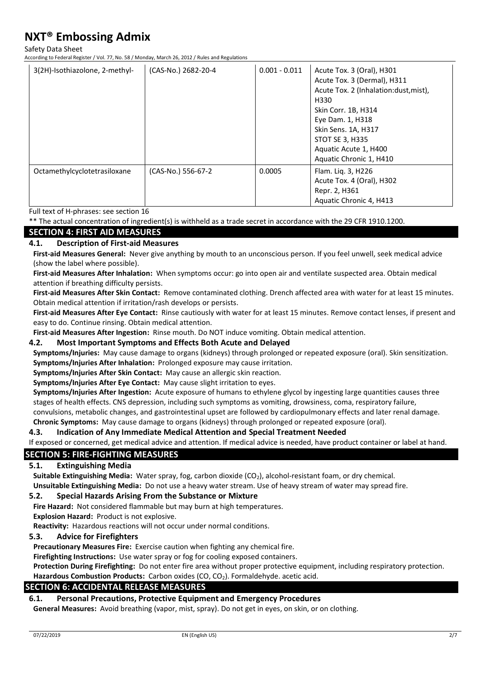Safety Data Sheet

According to Federal Register / Vol. 77, No. 58 / Monday, March 26, 2012 / Rules and Regulations

| 3(2H)-Isothiazolone, 2-methyl- | (CAS-No.) 2682-20-4 | $0.001 - 0.011$ | Acute Tox. 3 (Oral), H301             |
|--------------------------------|---------------------|-----------------|---------------------------------------|
|                                |                     |                 | Acute Tox. 3 (Dermal), H311           |
|                                |                     |                 | Acute Tox. 2 (Inhalation:dust, mist), |
|                                |                     |                 | H330                                  |
|                                |                     |                 | Skin Corr. 1B, H314                   |
|                                |                     |                 | Eye Dam. 1, H318                      |
|                                |                     |                 | Skin Sens. 1A, H317                   |
|                                |                     |                 | STOT SE 3, H335                       |
|                                |                     |                 | Aquatic Acute 1, H400                 |
|                                |                     |                 | Aquatic Chronic 1, H410               |
| Octamethylcyclotetrasiloxane   | (CAS-No.) 556-67-2  | 0.0005          | Flam. Lig. 3, H226                    |
|                                |                     |                 | Acute Tox. 4 (Oral), H302             |
|                                |                     |                 | Repr. 2, H361                         |
|                                |                     |                 | Aquatic Chronic 4, H413               |

Full text of H-phrases: see section 16

\*\* The actual concentration of ingredient(s) is withheld as a trade secret in accordance with the 29 CFR 1910.1200.

## **SECTION 4: FIRST AID MEASURES**

### **4.1. Description of First-aid Measures**

**First-aid Measures General:** Never give anything by mouth to an unconscious person. If you feel unwell, seek medical advice (show the label where possible).

**First-aid Measures After Inhalation:** When symptoms occur: go into open air and ventilate suspected area. Obtain medical attention if breathing difficulty persists.

**First-aid Measures After Skin Contact:** Remove contaminated clothing. Drench affected area with water for at least 15 minutes. Obtain medical attention if irritation/rash develops or persists.

**First-aid Measures After Eye Contact:** Rinse cautiously with water for at least 15 minutes. Remove contact lenses, if present and easy to do. Continue rinsing. Obtain medical attention.

**First-aid Measures After Ingestion:** Rinse mouth. Do NOT induce vomiting. Obtain medical attention.

#### **4.2. Most Important Symptoms and Effects Both Acute and Delayed**

**Symptoms/Injuries:** May cause damage to organs (kidneys) through prolonged or repeated exposure (oral). Skin sensitization. **Symptoms/Injuries After Inhalation:** Prolonged exposure may cause irritation.

**Symptoms/Injuries After Skin Contact:** May cause an allergic skin reaction.

**Symptoms/Injuries After Eye Contact:** May cause slight irritation to eyes.

**Symptoms/Injuries After Ingestion:** Acute exposure of humans to ethylene glycol by ingesting large quantities causes three stages of health effects. CNS depression, including such symptoms as vomiting, drowsiness, coma, respiratory failure, convulsions, metabolic changes, and gastrointestinal upset are followed by cardiopulmonary effects and later renal damage.

**Chronic Symptoms:** May cause damage to organs (kidneys) through prolonged or repeated exposure (oral).

## **4.3. Indication of Any Immediate Medical Attention and Special Treatment Needed**

If exposed or concerned, get medical advice and attention. If medical advice is needed, have product container or label at hand.

## **SECTION 5: FIRE-FIGHTING MEASURES**

#### **5.1. Extinguishing Media**

**Suitable Extinguishing Media:** Water spray, fog, carbon dioxide (CO2), alcohol-resistant foam, or dry chemical. **Unsuitable Extinguishing Media:** Do not use a heavy water stream. Use of heavy stream of water may spread fire.

#### **5.2. Special Hazards Arising From the Substance or Mixture**

**Fire Hazard:** Not considered flammable but may burn at high temperatures.

**Explosion Hazard:** Product is not explosive.

**Reactivity:** Hazardous reactions will not occur under normal conditions.

#### **5.3. Advice for Firefighters**

**Precautionary Measures Fire:** Exercise caution when fighting any chemical fire.

**Firefighting Instructions:** Use water spray or fog for cooling exposed containers.

**Protection During Firefighting:** Do not enter fire area without proper protective equipment, including respiratory protection. Hazardous Combustion Products: Carbon oxides (CO, CO<sub>2</sub>). Formaldehyde. acetic acid.

#### **SECTION 6: ACCIDENTAL RELEASE MEASURES**

#### **6.1. Personal Precautions, Protective Equipment and Emergency Procedures**

**General Measures:** Avoid breathing (vapor, mist, spray). Do not get in eyes, on skin, or on clothing.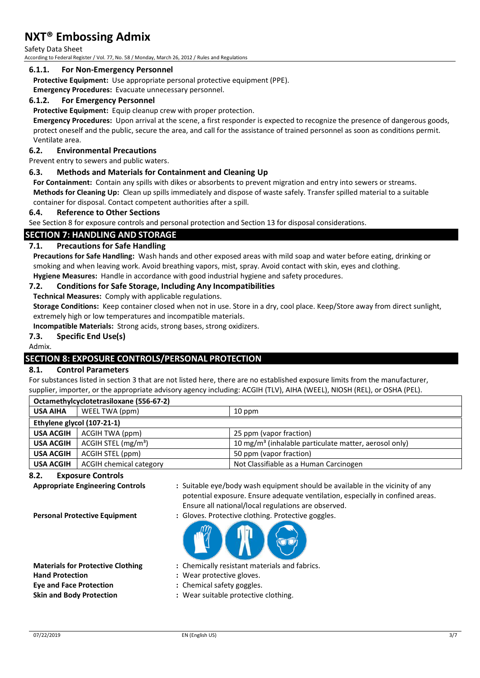Safety Data Sheet

According to Federal Register / Vol. 77, No. 58 / Monday, March 26, 2012 / Rules and Regulations

#### **6.1.1. For Non-Emergency Personnel**

**Protective Equipment:** Use appropriate personal protective equipment (PPE).

**Emergency Procedures:** Evacuate unnecessary personnel.

#### **6.1.2. For Emergency Personnel**

**Protective Equipment:** Equip cleanup crew with proper protection.

**Emergency Procedures:** Upon arrival at the scene, a first responder is expected to recognize the presence of dangerous goods, protect oneself and the public, secure the area, and call for the assistance of trained personnel as soon as conditions permit. Ventilate area.

#### **6.2. Environmental Precautions**

Prevent entry to sewers and public waters.

#### **6.3. Methods and Materials for Containment and Cleaning Up**

**For Containment:** Contain any spills with dikes or absorbents to prevent migration and entry into sewers or streams. **Methods for Cleaning Up:** Clean up spills immediately and dispose of waste safely. Transfer spilled material to a suitable container for disposal. Contact competent authorities after a spill.

#### **6.4. Reference to Other Sections**

See Section 8 for exposure controls and personal protection and Section 13 for disposal considerations.

### **SECTION 7: HANDLING AND STORAGE**

#### **7.1. Precautions for Safe Handling**

**Precautions for Safe Handling:** Wash hands and other exposed areas with mild soap and water before eating, drinking or smoking and when leaving work. Avoid breathing vapors, mist, spray. Avoid contact with skin, eyes and clothing. **Hygiene Measures:** Handle in accordance with good industrial hygiene and safety procedures.

#### **7.2. Conditions for Safe Storage, Including Any Incompatibilities**

**Technical Measures:** Comply with applicable regulations.

**Storage Conditions:** Keep container closed when not in use. Store in a dry, cool place. Keep/Store away from direct sunlight, extremely high or low temperatures and incompatible materials.

**Incompatible Materials:** Strong acids, strong bases, strong oxidizers.

#### **7.3. Specific End Use(s)**

Admix.

# **SECTION 8: EXPOSURE CONTROLS/PERSONAL PROTECTION**

#### **8.1. Control Parameters**

**Octamethylcyclotetrasiloxane (556-67-2)**

For substances listed in section 3 that are not listed here, there are no established exposure limits from the manufacturer, supplier, importer, or the appropriate advisory agency including: ACGIH (TLV), AIHA (WEEL), NIOSH (REL), or OSHA (PEL).

| Octamethylcyclotetrasiloxane (556-67-2) |                                 |                                                                   |  |
|-----------------------------------------|---------------------------------|-------------------------------------------------------------------|--|
| <b>USA AIHA</b>                         | WEEL TWA (ppm)                  | $10$ ppm                                                          |  |
| Ethylene glycol (107-21-1)              |                                 |                                                                   |  |
| <b>USA ACGIH</b>                        | ACGIH TWA (ppm)                 | 25 ppm (vapor fraction)                                           |  |
| <b>USA ACGIH</b>                        | ACGIH STEL (mg/m <sup>3</sup> ) | 10 mg/m <sup>3</sup> (inhalable particulate matter, aerosol only) |  |
| <b>USA ACGIH</b>                        | ACGIH STEL (ppm)                | 50 ppm (vapor fraction)                                           |  |
| USA ACGIH                               | <b>ACGIH chemical category</b>  | Not Classifiable as a Human Carcinogen                            |  |

#### **8.2. Exposure Controls**

**Appropriate Engineering Controls :** Suitable eye/body wash equipment should be available in the vicinity of any potential exposure. Ensure adequate ventilation, especially in confined areas. Ensure all national/local regulations are observed.

**Hand Protection :** Wear protective gloves. **Eye and Face Protection :** Chemical safety goggles.

**Personal Protective Equipment :** Gloves. Protective clothing. Protective goggles.



- **Materials for Protective Clothing :** Chemically resistant materials and fabrics.
	-
	-
- **Skin and Body Protection <b>:** Wear suitable protective clothing.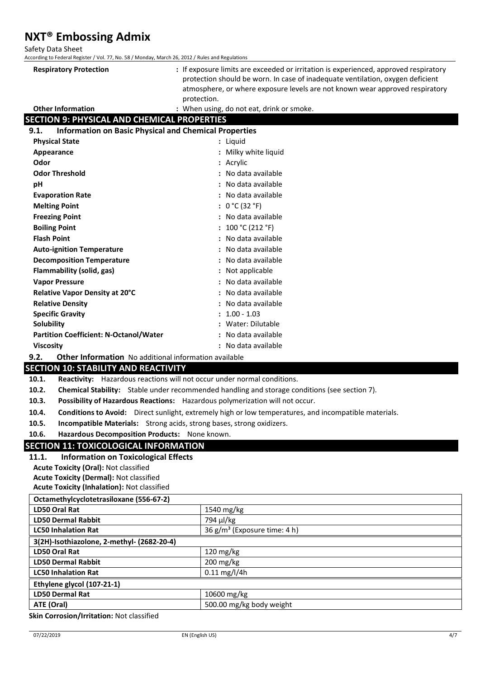Safety Data Sheet

According to Federal Register / Vol. 77, No. 58 / Monday, March 26, 2012 / Rules and Regulations

| <b>Respiratory Protection</b>                      | : If exposure limits are exceeded or irritation is experienced, approved respiratory<br>protection should be worn. In case of inadequate ventilation, oxygen deficient<br>atmosphere, or where exposure levels are not known wear approved respiratory<br>protection. |  |
|----------------------------------------------------|-----------------------------------------------------------------------------------------------------------------------------------------------------------------------------------------------------------------------------------------------------------------------|--|
| <b>Other Information</b>                           | : When using, do not eat, drink or smoke.                                                                                                                                                                                                                             |  |
| <b>SECTION 9: PHYSICAL AND CHEMICAL PROPERTIES</b> |                                                                                                                                                                                                                                                                       |  |
| 9.1.                                               | <b>Information on Basic Physical and Chemical Properties</b>                                                                                                                                                                                                          |  |

| <b>Physical State</b>                         | : Liquid             |
|-----------------------------------------------|----------------------|
| Appearance                                    | : Milky white liquid |
| Odor                                          | : Acrylic            |
| <b>Odor Threshold</b>                         | : No data available  |
| рH                                            | : No data available  |
| <b>Evaporation Rate</b>                       | : No data available  |
| <b>Melting Point</b>                          | : $0 °C (32 °F)$     |
| <b>Freezing Point</b>                         | : No data available  |
| <b>Boiling Point</b>                          | : $100 °C (212 °F)$  |
| <b>Flash Point</b>                            | : No data available  |
| <b>Auto-ignition Temperature</b>              | : No data available  |
| <b>Decomposition Temperature</b>              | : No data available  |
| Flammability (solid, gas)                     | : Not applicable     |
| <b>Vapor Pressure</b>                         | : No data available  |
| <b>Relative Vapor Density at 20°C</b>         | : No data available  |
| <b>Relative Density</b>                       | : No data available  |
| <b>Specific Gravity</b>                       | $: 1.00 - 1.03$      |
| Solubility                                    | : Water: Dilutable   |
| <b>Partition Coefficient: N-Octanol/Water</b> | : No data available  |
| <b>Viscosity</b>                              | : No data available  |

**9.2. Other Information** No additional information available

## **SECTION 10: STABILITY AND REACTIVITY**

**10.1. Reactivity:** Hazardous reactions will not occur under normal conditions.

- **10.2. Chemical Stability:** Stable under recommended handling and storage conditions (see section 7).
- **10.3. Possibility of Hazardous Reactions:** Hazardous polymerization will not occur.
- **10.4. Conditions to Avoid:** Direct sunlight, extremely high or low temperatures, and incompatible materials.
- **10.5. Incompatible Materials:** Strong acids, strong bases, strong oxidizers.
- **10.6. Hazardous Decomposition Products:** None known.

# **SECTION 11: TOXICOLOGICAL INFORMATION**

# **11.1. Information on Toxicological Effects**

**Acute Toxicity (Oral):** Not classified **Acute Toxicity (Dermal):** Not classified

| <b>Acute Toxicity (Inhalation): Not classified</b> |
|----------------------------------------------------|
| Octamethylcyclotetrasiloxane (556-67-2)            |

| $\alpha$                                   |                                   |  |
|--------------------------------------------|-----------------------------------|--|
| LD50 Oral Rat                              | $1540 \text{ mg/kg}$              |  |
| <b>LD50 Dermal Rabbit</b>                  | 794 µl/kg                         |  |
| <b>LC50 Inhalation Rat</b>                 | 36 $g/m^3$ (Exposure time: 4 h)   |  |
| 3(2H)-Isothiazolone, 2-methyl- (2682-20-4) |                                   |  |
| <b>LD50 Oral Rat</b>                       | $120 \text{ mg/kg}$               |  |
| <b>LD50 Dermal Rabbit</b>                  | $200 \frac{\text{mg}}{\text{kg}}$ |  |
| <b>LC50 Inhalation Rat</b>                 | $0.11 \,\mathrm{mg/l/4h}$         |  |
| Ethylene glycol (107-21-1)                 |                                   |  |
| <b>LD50 Dermal Rat</b>                     | 10600 mg/kg                       |  |
| ATE (Oral)                                 | 500.00 mg/kg body weight          |  |
|                                            |                                   |  |

**Skin Corrosion/Irritation:** Not classified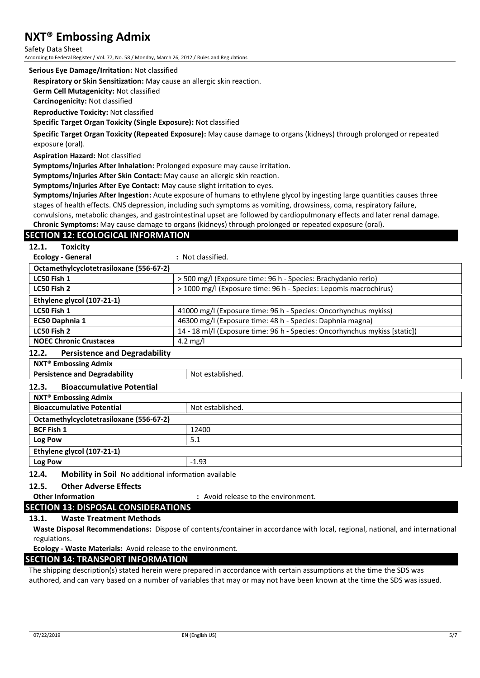Safety Data Sheet According to Federal Register / Vol. 77, No. 58 / Monday, March 26, 2012 / Rules and Regulations

#### **Serious Eye Damage/Irritation:** Not classified

**Respiratory or Skin Sensitization:** May cause an allergic skin reaction.

**Germ Cell Mutagenicity:** Not classified

**Carcinogenicity:** Not classified

**Reproductive Toxicity:** Not classified

**Specific Target Organ Toxicity (Single Exposure):** Not classified

**Specific Target Organ Toxicity (Repeated Exposure):** May cause damage to organs (kidneys) through prolonged or repeated exposure (oral).

**Aspiration Hazard:** Not classified

**Symptoms/Injuries After Inhalation:** Prolonged exposure may cause irritation.

**Symptoms/Injuries After Skin Contact:** May cause an allergic skin reaction.

**Symptoms/Injuries After Eye Contact:** May cause slight irritation to eyes.

**Symptoms/Injuries After Ingestion:** Acute exposure of humans to ethylene glycol by ingesting large quantities causes three stages of health effects. CNS depression, including such symptoms as vomiting, drowsiness, coma, respiratory failure, convulsions, metabolic changes, and gastrointestinal upset are followed by cardiopulmonary effects and later renal damage.

**Chronic Symptoms:** May cause damage to organs (kidneys) through prolonged or repeated exposure (oral).

# **SECTION 12: ECOLOGICAL INFORMATION**

**Ecology - General :** Not classified.

| Octamethylcyclotetrasiloxane (556-67-2)       |                                                                            |  |
|-----------------------------------------------|----------------------------------------------------------------------------|--|
| LC50 Fish 1                                   | > 500 mg/l (Exposure time: 96 h - Species: Brachydanio rerio)              |  |
| LC50 Fish 2                                   | > 1000 mg/l (Exposure time: 96 h - Species: Lepomis macrochirus)           |  |
| Ethylene glycol (107-21-1)                    |                                                                            |  |
| LC50 Fish 1                                   | 41000 mg/l (Exposure time: 96 h - Species: Oncorhynchus mykiss)            |  |
| EC50 Daphnia 1                                | 46300 mg/l (Exposure time: 48 h - Species: Daphnia magna)                  |  |
| LC50 Fish 2                                   | 14 - 18 ml/l (Exposure time: 96 h - Species: Oncorhynchus mykiss [static]) |  |
| <b>NOEC Chronic Crustacea</b>                 | 4.2 mg/l                                                                   |  |
| <b>Persistence and Degradability</b><br>12.2. |                                                                            |  |
| <b>NXT<sup>®</sup></b> Embossing Admix        |                                                                            |  |
| <b>Persistence and Degradability</b>          | Not established.                                                           |  |

#### **12.3. Bioaccumulative Potential**

| <b>NXT<sup>®</sup></b> Embossing Admix  |                  |  |
|-----------------------------------------|------------------|--|
| <b>Bioaccumulative Potential</b>        | Not established. |  |
| Octamethylcyclotetrasiloxane (556-67-2) |                  |  |
| <b>BCF Fish 1</b>                       | 12400            |  |
| Log Pow                                 | 5.1              |  |
| Ethylene glycol (107-21-1)              |                  |  |
| Log Pow                                 | $-1.93$          |  |
|                                         |                  |  |

#### **12.4. Mobility in Soil** No additional information available

#### **12.5. Other Adverse Effects**

**Other Information :** Avoid release to the environment.

# **SECTION 13: DISPOSAL CONSIDERATIONS**

## **13.1. Waste Treatment Methods**

**Waste Disposal Recommendations:** Dispose of contents/container in accordance with local, regional, national, and international regulations.

**Ecology - Waste Materials:** Avoid release to the environment.

## **SECTION 14: TRANSPORT INFORMATION**

The shipping description(s) stated herein were prepared in accordance with certain assumptions at the time the SDS was authored, and can vary based on a number of variables that may or may not have been known at the time the SDS was issued.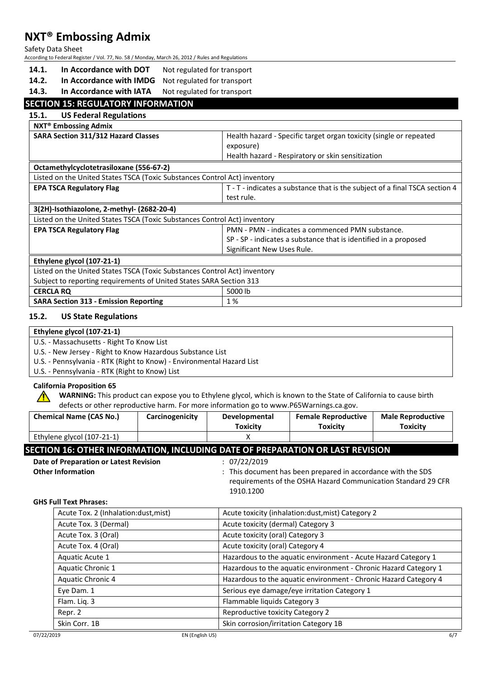Safety Data Sheet

According to Federal Register / Vol. 77, No. 58 / Monday, March 26, 2012 / Rules and Regulations

- 14.1. In Accordance with DOT Not regulated for transport
- **14.2. In Accordance with IMDG** Not regulated for transport
- 14.3. In Accordance with IATA Not regulated for transport

# **SECTION 15: REGULATORY INFORMATION**

#### **15.1. US Federal Regulations**

| SARA Section 311/312 Hazard Classes                                       | Health hazard - Specific target organ toxicity (single or repeated<br>exposure)<br>Health hazard - Respiratory or skin sensitization |  |  |
|---------------------------------------------------------------------------|--------------------------------------------------------------------------------------------------------------------------------------|--|--|
|                                                                           |                                                                                                                                      |  |  |
|                                                                           |                                                                                                                                      |  |  |
|                                                                           |                                                                                                                                      |  |  |
| Octamethylcyclotetrasiloxane (556-67-2)                                   |                                                                                                                                      |  |  |
| Listed on the United States TSCA (Toxic Substances Control Act) inventory |                                                                                                                                      |  |  |
| <b>EPA TSCA Regulatory Flag</b>                                           | T - T - indicates a substance that is the subject of a final TSCA section 4                                                          |  |  |
|                                                                           | test rule.                                                                                                                           |  |  |
| 3(2H)-Isothiazolone, 2-methyl- (2682-20-4)                                |                                                                                                                                      |  |  |
| Listed on the United States TSCA (Toxic Substances Control Act) inventory |                                                                                                                                      |  |  |
| <b>EPA TSCA Regulatory Flag</b>                                           | PMN - PMN - indicates a commenced PMN substance.                                                                                     |  |  |
|                                                                           | SP - SP - indicates a substance that is identified in a proposed                                                                     |  |  |
|                                                                           | Significant New Uses Rule.                                                                                                           |  |  |
| Ethylene glycol (107-21-1)                                                |                                                                                                                                      |  |  |
| Listed on the United States TSCA (Toxic Substances Control Act) inventory |                                                                                                                                      |  |  |
| Subject to reporting requirements of United States SARA Section 313       |                                                                                                                                      |  |  |
| <b>CERCLA RQ</b>                                                          | 5000 lb                                                                                                                              |  |  |
| <b>SARA Section 313 - Emission Reporting</b>                              | 1%                                                                                                                                   |  |  |

### **15.2. US State Regulations**

## **Ethylene glycol (107-21-1)**

U.S. - Massachusetts - Right To Know List

U.S. - New Jersey - Right to Know Hazardous Substance List

U.S. - Pennsylvania - RTK (Right to Know) - Environmental Hazard List

U.S. - Pennsylvania - RTK (Right to Know) List

### **California Proposition 65**

 $\bigwedge$ 

**WARNING:** This product can expose you to Ethylene glycol, which is known to the State of California to cause birth defects or other reproductive harm. For more information go to www.P65Warnings.ca.gov.

|                                        | <b>Chemical Name (CAS No.)</b>                                                | Carcinogenicity                                                                                                                            | Developmental   | <b>Female Reproductive</b>                         | <b>Male Reproductive</b> |  |  |  |
|----------------------------------------|-------------------------------------------------------------------------------|--------------------------------------------------------------------------------------------------------------------------------------------|-----------------|----------------------------------------------------|--------------------------|--|--|--|
|                                        |                                                                               |                                                                                                                                            | <b>Toxicity</b> | <b>Toxicity</b>                                    | <b>Toxicity</b>          |  |  |  |
|                                        | Ethylene glycol (107-21-1)                                                    |                                                                                                                                            | х               |                                                    |                          |  |  |  |
|                                        | SECTION 16: OTHER INFORMATION, INCLUDING DATE OF PREPARATION OR LAST REVISION |                                                                                                                                            |                 |                                                    |                          |  |  |  |
| Date of Preparation or Latest Revision |                                                                               |                                                                                                                                            | : 07/22/2019    |                                                    |                          |  |  |  |
| <b>Other Information</b>               |                                                                               | : This document has been prepared in accordance with the SDS<br>requirements of the OSHA Hazard Communication Standard 29 CFR<br>1910.1200 |                 |                                                    |                          |  |  |  |
| <b>GHS Full Text Phrases:</b>          |                                                                               |                                                                                                                                            |                 |                                                    |                          |  |  |  |
|                                        | Acute Tox. 2 (Inhalation: dust, mist)                                         |                                                                                                                                            |                 | Acute toxicity (inhalation: dust, mist) Category 2 |                          |  |  |  |

| Acute Tox. 2 (Inhalation:dust, mist) | Acute toxicity (inhalation:dust, mist) Category 2                |  |
|--------------------------------------|------------------------------------------------------------------|--|
| Acute Tox. 3 (Dermal)                | Acute toxicity (dermal) Category 3                               |  |
| Acute Tox. 3 (Oral)                  | Acute toxicity (oral) Category 3                                 |  |
| Acute Tox. 4 (Oral)                  | Acute toxicity (oral) Category 4                                 |  |
| Aquatic Acute 1                      | Hazardous to the aquatic environment - Acute Hazard Category 1   |  |
| Aquatic Chronic 1                    | Hazardous to the aquatic environment - Chronic Hazard Category 1 |  |
| Aquatic Chronic 4                    | Hazardous to the aquatic environment - Chronic Hazard Category 4 |  |
| Eye Dam. 1                           | Serious eye damage/eye irritation Category 1                     |  |
| Flam. Liq. 3                         | Flammable liquids Category 3                                     |  |
| Repr. 2                              | Reproductive toxicity Category 2                                 |  |
| Skin Corr. 1B                        | Skin corrosion/irritation Category 1B                            |  |